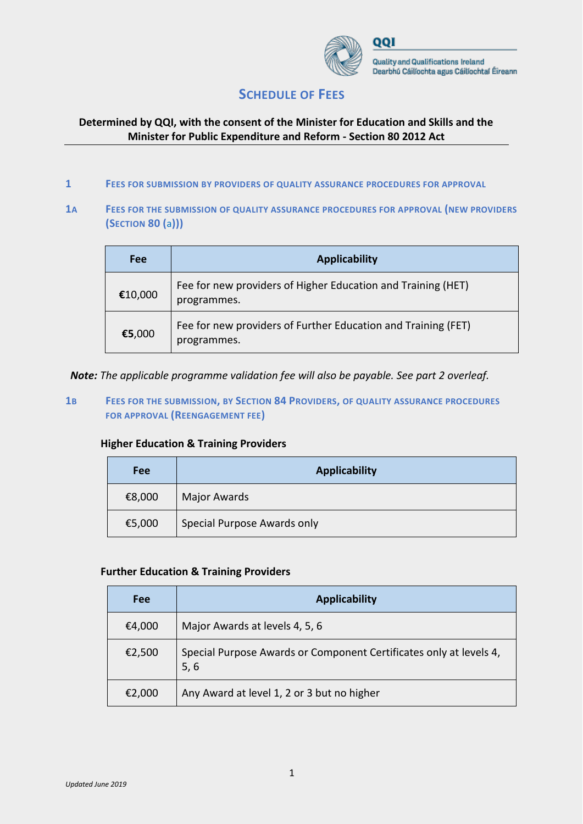

# **SCHEDULE OF FEES**

## **Determined by QQI, with the consent of the Minister for Education and Skills and the Minister for Public Expenditure and Reform - Section 80 2012 Act**

- **1 FEES FOR SUBMISSION BY PROVIDERS OF QUALITY ASSURANCE PROCEDURES FOR APPROVAL**
- **1A FEES FOR THE SUBMISSION OF QUALITY ASSURANCE PROCEDURES FOR APPROVAL (NEW PROVIDERS (SECTION 80 (**a**)))**

| Fee     | <b>Applicability</b>                                                         |
|---------|------------------------------------------------------------------------------|
| €10,000 | Fee for new providers of Higher Education and Training (HET)<br>programmes.  |
| €5,000  | Fee for new providers of Further Education and Training (FET)<br>programmes. |

*Note: The applicable programme validation fee will also be payable. See part 2 overleaf.*

**1B FEES FOR THE SUBMISSION, BY SECTION 84 PROVIDERS, OF QUALITY ASSURANCE PROCEDURES FOR APPROVAL (REENGAGEMENT FEE)**

## **Higher Education & Training Providers**

| <b>Fee</b> | <b>Applicability</b>        |
|------------|-----------------------------|
| €8,000     | Major Awards                |
| €5,000     | Special Purpose Awards only |

#### **Further Education & Training Providers**

| Fee    | <b>Applicability</b>                                                       |
|--------|----------------------------------------------------------------------------|
| €4,000 | Major Awards at levels 4, 5, 6                                             |
| €2,500 | Special Purpose Awards or Component Certificates only at levels 4,<br>5, 6 |
| €2,000 | Any Award at level 1, 2 or 3 but no higher                                 |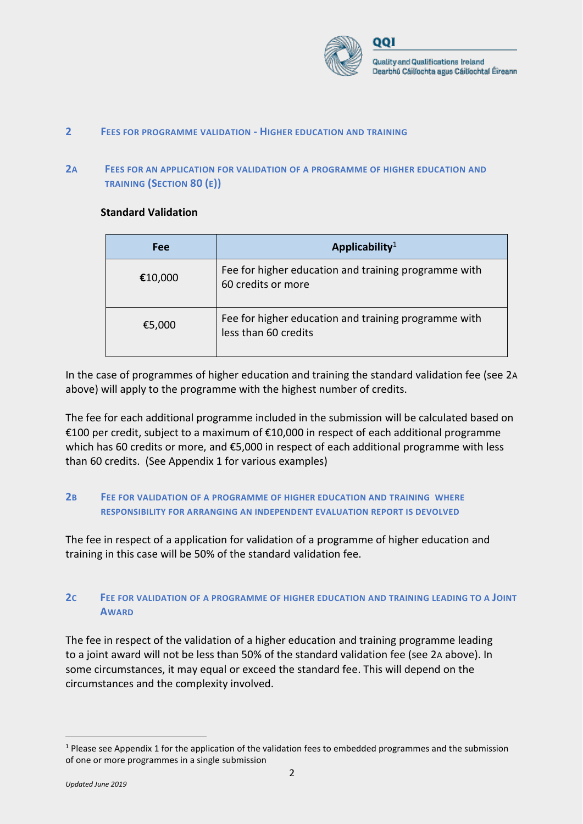

#### **2 FEES FOR PROGRAMME VALIDATION - HIGHER EDUCATION AND TRAINING**

### **2A FEES FOR AN APPLICATION FOR VALIDATION OF A PROGRAMME OF HIGHER EDUCATION AND TRAINING (SECTION 80 (E))**

#### **Standard Validation**

| <b>Fee</b> | Applicability <sup>1</sup>                                                   |
|------------|------------------------------------------------------------------------------|
| €10,000    | Fee for higher education and training programme with<br>60 credits or more   |
| €5,000     | Fee for higher education and training programme with<br>less than 60 credits |

In the case of programmes of higher education and training the standard validation fee (see 2A above) will apply to the programme with the highest number of credits.

The fee for each additional programme included in the submission will be calculated based on €100 per credit, subject to a maximum of €10,000 in respect of each additional programme which has 60 credits or more, and €5,000 in respect of each additional programme with less than 60 credits. (See Appendix 1 for various examples)

### **2B FEE FOR VALIDATION OF A PROGRAMME OF HIGHER EDUCATION AND TRAINING WHERE RESPONSIBILITY FOR ARRANGING AN INDEPENDENT EVALUATION REPORT IS DEVOLVED**

The fee in respect of a application for validation of a programme of higher education and training in this case will be 50% of the standard validation fee.

## **2C FEE FOR VALIDATION OF A PROGRAMME OF HIGHER EDUCATION AND TRAINING LEADING TO A JOINT AWARD**

The fee in respect of the validation of a higher education and training programme leading to a joint award will not be less than 50% of the standard validation fee (see 2A above). In some circumstances, it may equal or exceed the standard fee. This will depend on the circumstances and the complexity involved.

 $\overline{a}$ 

 $1$  Please see Appendix 1 for the application of the validation fees to embedded programmes and the submission of one or more programmes in a single submission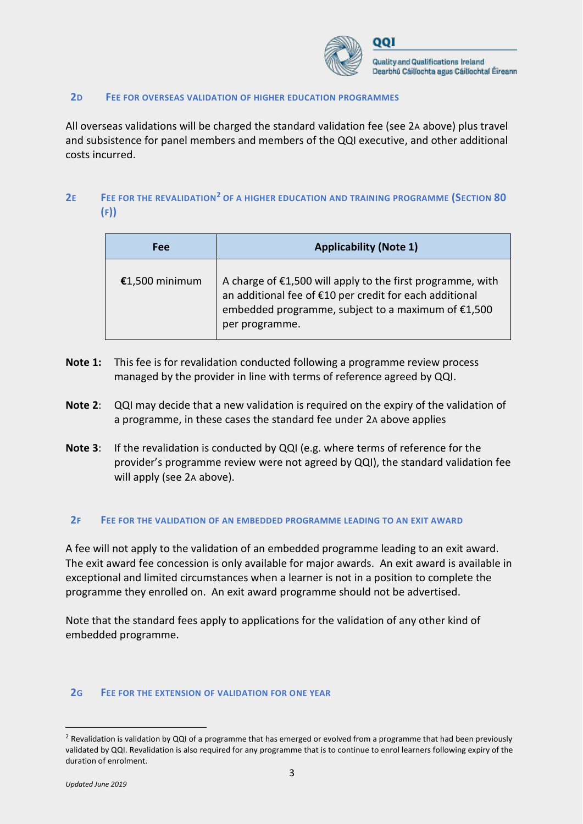

#### **2D FEE FOR OVERSEAS VALIDATION OF HIGHER EDUCATION PROGRAMMES**

All overseas validations will be charged the standard validation fee (see 2A above) plus travel and subsistence for panel members and members of the QQI executive, and other additional costs incurred.

## **2E FEE FOR THE REVALIDATION<sup>2</sup> OF A HIGHER EDUCATION AND TRAINING PROGRAMME (SECTION 80 (F))**

| <b>Fee</b>     | <b>Applicability (Note 1)</b>                                                                                                                                                                 |
|----------------|-----------------------------------------------------------------------------------------------------------------------------------------------------------------------------------------------|
| €1,500 minimum | A charge of €1,500 will apply to the first programme, with<br>an additional fee of €10 per credit for each additional<br>embedded programme, subject to a maximum of €1,500<br>per programme. |

- **Note 1:** This fee is for revalidation conducted following a programme review process managed by the provider in line with terms of reference agreed by QQI.
- **Note 2**: QQI may decide that a new validation is required on the expiry of the validation of a programme, in these cases the standard fee under 2A above applies
- **Note 3**: If the revalidation is conducted by QQI (e.g. where terms of reference for the provider's programme review were not agreed by QQI), the standard validation fee will apply (see 2A above).

#### **2F FEE FOR THE VALIDATION OF AN EMBEDDED PROGRAMME LEADING TO AN EXIT AWARD**

A fee will not apply to the validation of an embedded programme leading to an exit award. The exit award fee concession is only available for major awards. An exit award is available in exceptional and limited circumstances when a learner is not in a position to complete the programme they enrolled on. An exit award programme should not be advertised.

Note that the standard fees apply to applications for the validation of any other kind of embedded programme.

#### **2G FEE FOR THE EXTENSION OF VALIDATION FOR ONE YEAR**

 $\overline{a}$ 

<sup>&</sup>lt;sup>2</sup> Revalidation is validation by QQI of a programme that has emerged or evolved from a programme that had been previously validated by QQI. Revalidation is also required for any programme that is to continue to enrol learners following expiry of the duration of enrolment.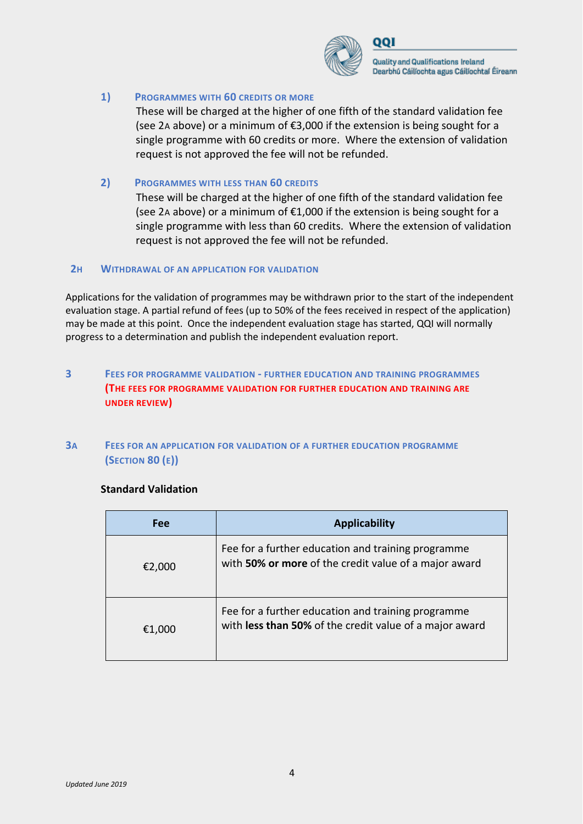

Quality and Qualifications Ireland Dearbhú Cáilíochta agus Cáilíochtaí Éireann

### **1) PROGRAMMES WITH 60 CREDITS OR MORE**

These will be charged at the higher of one fifth of the standard validation fee (see 2A above) or a minimum of €3,000 if the extension is being sought for a single programme with 60 credits or more. Where the extension of validation request is not approved the fee will not be refunded.

### **2) PROGRAMMES WITH LESS THAN 60 CREDITS**

These will be charged at the higher of one fifth of the standard validation fee (see 2A above) or a minimum of €1,000 if the extension is being sought for a single programme with less than 60 credits. Where the extension of validation request is not approved the fee will not be refunded.

#### **2H WITHDRAWAL OF AN APPLICATION FOR VALIDATION**

Applications for the validation of programmes may be withdrawn prior to the start of the independent evaluation stage. A partial refund of fees (up to 50% of the fees received in respect of the application) may be made at this point. Once the independent evaluation stage has started, QQI will normally progress to a determination and publish the independent evaluation report.

## **3 FEES FOR PROGRAMME VALIDATION - FURTHER EDUCATION AND TRAINING PROGRAMMES (THE FEES FOR PROGRAMME VALIDATION FOR FURTHER EDUCATION AND TRAINING ARE UNDER REVIEW)**

### **3A FEES FOR AN APPLICATION FOR VALIDATION OF A FURTHER EDUCATION PROGRAMME (SECTION 80 (E))**

#### **Standard Validation**

| Fee    | <b>Applicability</b>                                                                                          |
|--------|---------------------------------------------------------------------------------------------------------------|
| €2,000 | Fee for a further education and training programme<br>with 50% or more of the credit value of a major award   |
| €1,000 | Fee for a further education and training programme<br>with less than 50% of the credit value of a major award |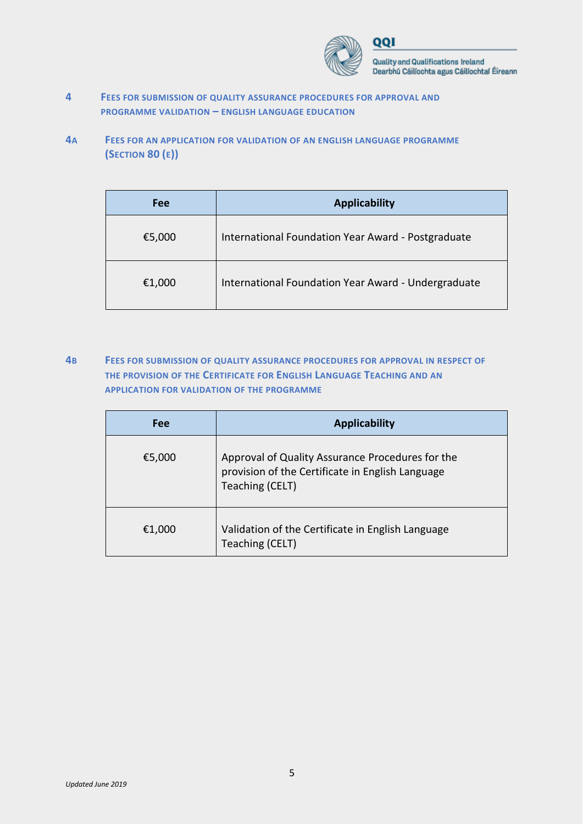

Quality and Qualifications Ireland Dearbhú Cáilíochta agus Cáilíochtaí Éireann

- **4 FEES FOR SUBMISSION OF QUALITY ASSURANCE PROCEDURES FOR APPROVAL AND PROGRAMME VALIDATION – ENGLISH LANGUAGE EDUCATION**
- **4A FEES FOR AN APPLICATION FOR VALIDATION OF AN ENGLISH LANGUAGE PROGRAMME (SECTION 80 (E))**

| Fee    | <b>Applicability</b>                                |
|--------|-----------------------------------------------------|
| €5,000 | International Foundation Year Award - Postgraduate  |
| €1,000 | International Foundation Year Award - Undergraduate |

**4B FEES FOR SUBMISSION OF QUALITY ASSURANCE PROCEDURES FOR APPROVAL IN RESPECT OF THE PROVISION OF THE CERTIFICATE FOR ENGLISH LANGUAGE TEACHING AND AN APPLICATION FOR VALIDATION OF THE PROGRAMME**

| Fee    | <b>Applicability</b>                                                                                                    |
|--------|-------------------------------------------------------------------------------------------------------------------------|
| €5,000 | Approval of Quality Assurance Procedures for the<br>provision of the Certificate in English Language<br>Teaching (CELT) |
| €1,000 | Validation of the Certificate in English Language<br>Teaching (CELT)                                                    |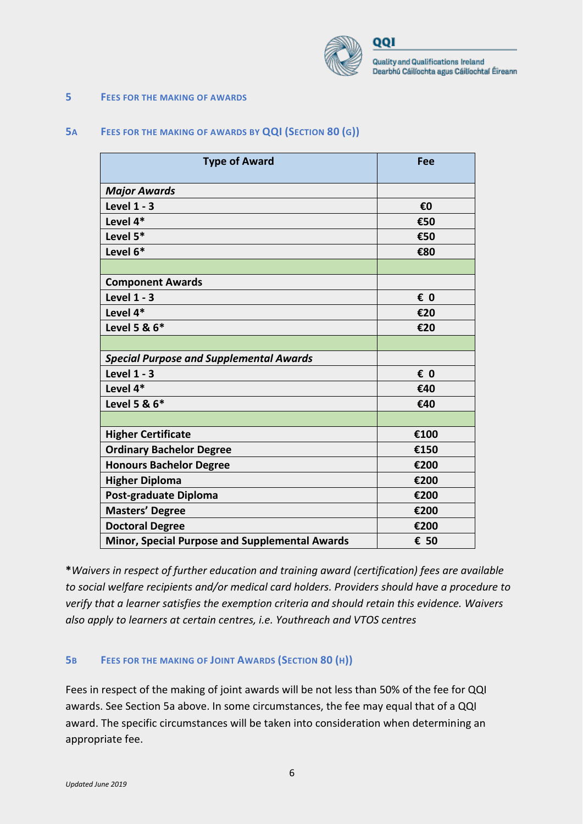

റവ

Quality and Qualifications Ireland Dearbhú Cáilíochta agus Cáilíochtaí Éireann

#### **5 FEES FOR THE MAKING OF AWARDS**

### **5A FEES FOR THE MAKING OF AWARDS BY QQI (SECTION 80 (G))**

| <b>Type of Award</b>                                  | Fee  |
|-------------------------------------------------------|------|
| <b>Major Awards</b>                                   |      |
| <b>Level 1 - 3</b>                                    | €0   |
| Level 4*                                              | €50  |
| Level 5*                                              | €50  |
| Level 6*                                              | €80  |
|                                                       |      |
| <b>Component Awards</b>                               |      |
| <b>Level 1 - 3</b>                                    | € 0  |
| Level 4*                                              | €20  |
| Level 5 & 6*                                          | €20  |
|                                                       |      |
| <b>Special Purpose and Supplemental Awards</b>        |      |
| Level $1 - 3$                                         | € 0  |
| Level 4*                                              | €40  |
| Level 5 & 6*                                          | €40  |
|                                                       |      |
| <b>Higher Certificate</b>                             | €100 |
| <b>Ordinary Bachelor Degree</b>                       | €150 |
| <b>Honours Bachelor Degree</b>                        | €200 |
| <b>Higher Diploma</b>                                 | €200 |
| Post-graduate Diploma                                 | €200 |
| <b>Masters' Degree</b>                                | €200 |
| <b>Doctoral Degree</b>                                | €200 |
| <b>Minor, Special Purpose and Supplemental Awards</b> | € 50 |

**\****Waivers in respect of further education and training award (certification) fees are available to social welfare recipients and/or medical card holders. Providers should have a procedure to verify that a learner satisfies the exemption criteria and should retain this evidence. Waivers also apply to learners at certain centres, i.e. Youthreach and VTOS centres*

#### **5B FEES FOR THE MAKING OF JOINT AWARDS (SECTION 80 (H))**

Fees in respect of the making of joint awards will be not less than 50% of the fee for QQI awards. See Section 5a above. In some circumstances, the fee may equal that of a QQI award. The specific circumstances will be taken into consideration when determining an appropriate fee.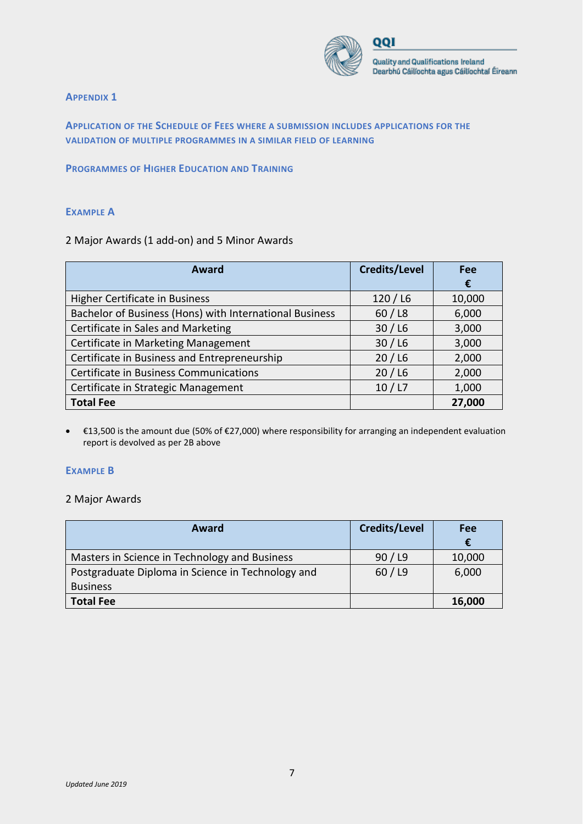

#### **APPENDIX 1**

**APPLICATION OF THE SCHEDULE OF FEES WHERE A SUBMISSION INCLUDES APPLICATIONS FOR THE VALIDATION OF MULTIPLE PROGRAMMES IN A SIMILAR FIELD OF LEARNING**

#### **PROGRAMMES OF HIGHER EDUCATION AND TRAINING**

#### **EXAMPLE A**

#### 2 Major Awards (1 add-on) and 5 Minor Awards

| Award                                                   | <b>Credits/Level</b> | Fee    |
|---------------------------------------------------------|----------------------|--------|
|                                                         |                      | €      |
| <b>Higher Certificate in Business</b>                   | 120/16               | 10,000 |
| Bachelor of Business (Hons) with International Business | 60/18                | 6,000  |
| Certificate in Sales and Marketing                      | 30/16                | 3,000  |
| Certificate in Marketing Management                     | 30/16                | 3,000  |
| Certificate in Business and Entrepreneurship            | 20/16                | 2,000  |
| <b>Certificate in Business Communications</b>           | 20/16                | 2,000  |
| Certificate in Strategic Management                     | 10/ L7               | 1,000  |
| <b>Total Fee</b>                                        |                      | 27,000 |

• €13,500 is the amount due (50% of €27,000) where responsibility for arranging an independent evaluation report is devolved as per 2B above

#### **EXAMPLE B**

#### 2 Major Awards

| Award                                             | Credits/Level | Fee    |
|---------------------------------------------------|---------------|--------|
|                                                   |               | €      |
| Masters in Science in Technology and Business     | 90/19         | 10,000 |
| Postgraduate Diploma in Science in Technology and | 60/19         | 6,000  |
| <b>Business</b>                                   |               |        |
| <b>Total Fee</b>                                  |               | 16,000 |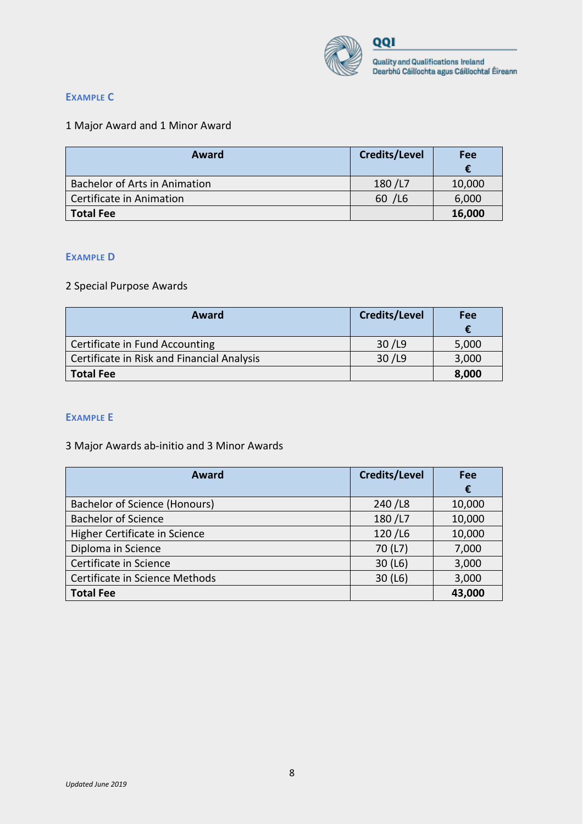

### **EXAMPLE C**

## 1 Major Award and 1 Minor Award

| Award                                | <b>Credits/Level</b> | Fee    |
|--------------------------------------|----------------------|--------|
| <b>Bachelor of Arts in Animation</b> | 180/L7               | 10,000 |
| Certificate in Animation             | 60 / L6              | 6,000  |
| <b>Total Fee</b>                     |                      | 16,000 |

#### **EXAMPLE D**

### 2 Special Purpose Awards

| Award                                      | Credits/Level | Fee   |
|--------------------------------------------|---------------|-------|
| Certificate in Fund Accounting             | 30 / L9       | 5,000 |
| Certificate in Risk and Financial Analysis | 30 / L9       | 3,000 |
| <b>Total Fee</b>                           |               | 8,000 |

#### **EXAMPLE E**

## 3 Major Awards ab-initio and 3 Minor Awards

| Award                          | <b>Credits/Level</b> | Fee        |
|--------------------------------|----------------------|------------|
|                                |                      | $\epsilon$ |
| Bachelor of Science (Honours)  | 240/L8               | 10,000     |
| <b>Bachelor of Science</b>     | 180/L7               | 10,000     |
| Higher Certificate in Science  | 120/L6               | 10,000     |
| Diploma in Science             | 70 (L7)              | 7,000      |
| Certificate in Science         | 30(L6)               | 3,000      |
| Certificate in Science Methods | 30(L6)               | 3,000      |
| <b>Total Fee</b>               |                      | 43,000     |